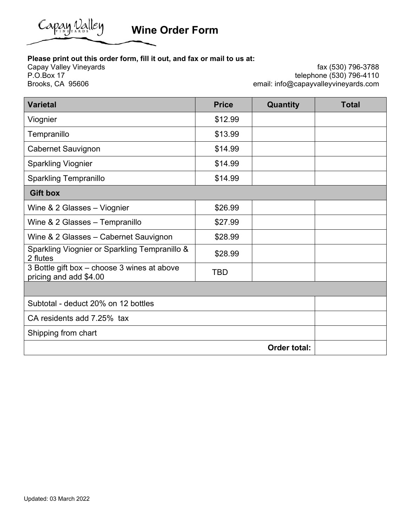

**Wine Order Form** 

## **Please print out this order form, fill it out, and fax or mail to us at:**

Capay Valley Vineyards P.O.Box 17 Brooks, CA 95606

fax (530) 796-3788 telephone (530) 796-4110 email: info@capayvalleyvineyards.com

| <b>Varietal</b>                                                       | <b>Price</b> | Quantity            | <b>Total</b> |  |  |
|-----------------------------------------------------------------------|--------------|---------------------|--------------|--|--|
| Viognier                                                              | \$12.99      |                     |              |  |  |
| Tempranillo                                                           | \$13.99      |                     |              |  |  |
| Cabernet Sauvignon                                                    | \$14.99      |                     |              |  |  |
| <b>Sparkling Viognier</b>                                             | \$14.99      |                     |              |  |  |
| <b>Sparkling Tempranillo</b>                                          | \$14.99      |                     |              |  |  |
| <b>Gift box</b>                                                       |              |                     |              |  |  |
| Wine & 2 Glasses - Viognier                                           | \$26.99      |                     |              |  |  |
| Wine & 2 Glasses - Tempranillo                                        | \$27.99      |                     |              |  |  |
| Wine & 2 Glasses - Cabernet Sauvignon                                 | \$28.99      |                     |              |  |  |
| Sparkling Viognier or Sparkling Tempranillo &<br>2 flutes             | \$28.99      |                     |              |  |  |
| 3 Bottle gift box - choose 3 wines at above<br>pricing and add \$4.00 | <b>TBD</b>   |                     |              |  |  |
|                                                                       |              |                     |              |  |  |
| Subtotal - deduct 20% on 12 bottles                                   |              |                     |              |  |  |
| CA residents add 7.25% tax                                            |              |                     |              |  |  |
| Shipping from chart                                                   |              |                     |              |  |  |
|                                                                       |              | <b>Order total:</b> |              |  |  |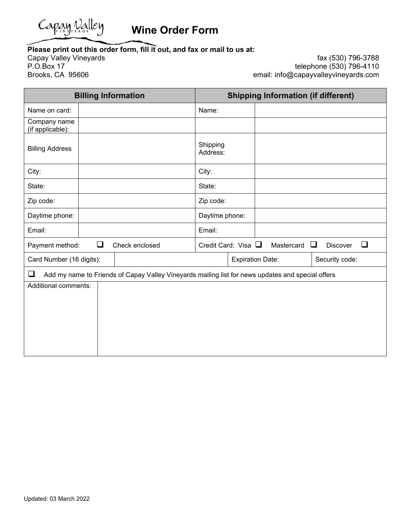

## **Please print out this order form, fill it out, and fax or mail to us at:**

Capay Valley Vineyards P.O.Box 17 Brooks, CA 95606

fax (530) 796-3788 telephone (530) 796-4110 email: info@capayvalleyvineyards.com

| <b>Billing Information</b>                                                                                  |        |                | <b>Shipping Information (if different)</b> |                             |                         |  |            |                |        |
|-------------------------------------------------------------------------------------------------------------|--------|----------------|--------------------------------------------|-----------------------------|-------------------------|--|------------|----------------|--------|
| Name on card:                                                                                               |        |                |                                            | Name:                       |                         |  |            |                |        |
| Company name<br>(if applicable):                                                                            |        |                |                                            |                             |                         |  |            |                |        |
| <b>Billing Address</b>                                                                                      |        |                |                                            | Shipping<br>Address:        |                         |  |            |                |        |
| City:                                                                                                       |        |                |                                            | City:                       |                         |  |            |                |        |
| State:                                                                                                      |        |                |                                            | State:                      |                         |  |            |                |        |
| Zip code:                                                                                                   |        |                |                                            | Zip code:                   |                         |  |            |                |        |
| Daytime phone:                                                                                              |        |                |                                            | Daytime phone:              |                         |  |            |                |        |
| Email:                                                                                                      |        |                |                                            | Email:                      |                         |  |            |                |        |
| Payment method:                                                                                             | $\Box$ | Check enclosed |                                            | Credit Card: Visa $\square$ |                         |  | Mastercard | □<br>Discover  | $\Box$ |
| Card Number (16 digits):                                                                                    |        |                |                                            |                             | <b>Expiration Date:</b> |  |            | Security code: |        |
| $\Box$<br>Add my name to Friends of Capay Valley Vineyards mailing list for news updates and special offers |        |                |                                            |                             |                         |  |            |                |        |
| Additional comments:                                                                                        |        |                |                                            |                             |                         |  |            |                |        |
|                                                                                                             |        |                |                                            |                             |                         |  |            |                |        |
|                                                                                                             |        |                |                                            |                             |                         |  |            |                |        |
|                                                                                                             |        |                |                                            |                             |                         |  |            |                |        |
|                                                                                                             |        |                |                                            |                             |                         |  |            |                |        |